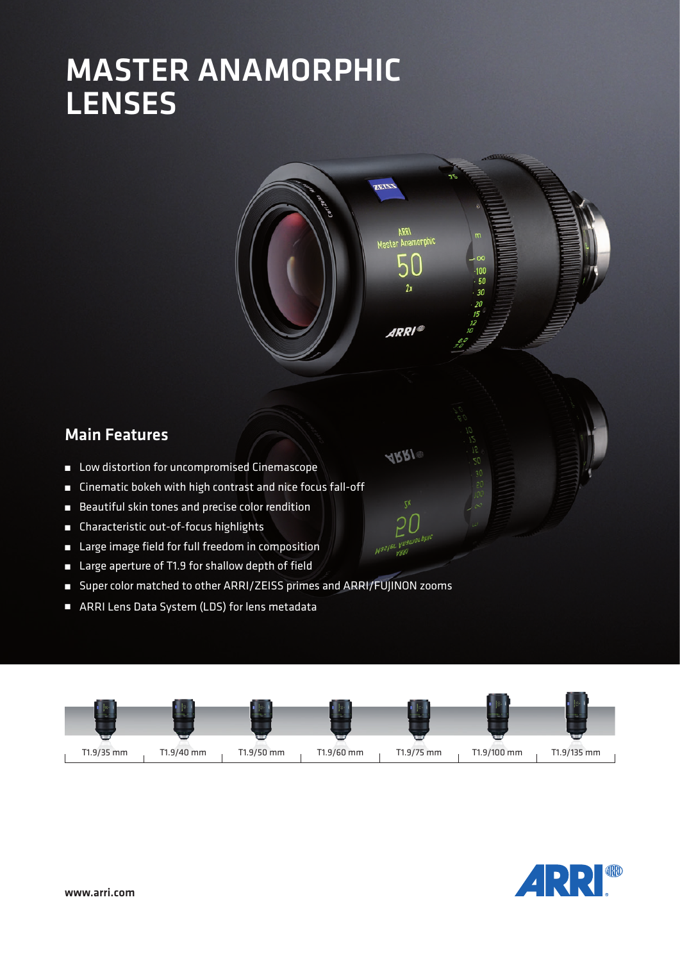# MASTER ANAMORPHIC **LENSES**



 $ABR$ 

## Main Features

- Low distortion for uncompromised Cinemascope
- Cinematic bokeh with high contrast and nice focus fall-off
- Beautiful skin tones and precise color rendition
- Characteristic out-of-focus highlights
- Large image field for full freedom in composition
- Large aperture of T1.9 for shallow depth of field
- Super color matched to other ARRI/ZEISS primes and ARRI/FUJINON zooms
- ARRI Lens Data System (LDS) for lens metadata